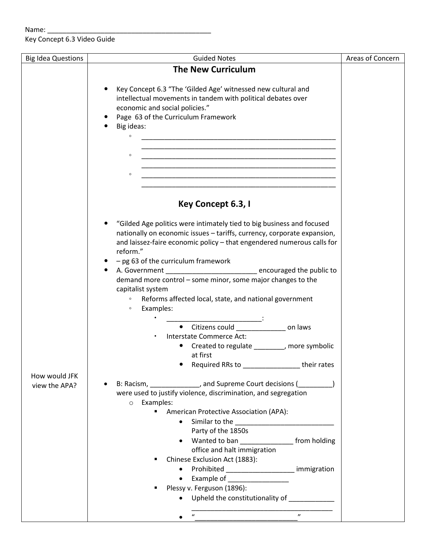Key Concept 6.3 Video Guide

| <b>Guided Notes</b><br><b>Big Idea Questions</b>                                                                                         | Areas of Concern |
|------------------------------------------------------------------------------------------------------------------------------------------|------------------|
| <b>The New Curriculum</b>                                                                                                                |                  |
|                                                                                                                                          |                  |
| Key Concept 6.3 "The 'Gilded Age' witnessed new cultural and                                                                             |                  |
| intellectual movements in tandem with political debates over                                                                             |                  |
| economic and social policies."                                                                                                           |                  |
| Page 63 of the Curriculum Framework                                                                                                      |                  |
| Big ideas:                                                                                                                               |                  |
| $\circ$<br><u> 1989 - Johann John Stone, mars et al. 1989 - John Stone, mars et al. 1989 - John Stone, mars et al. 1989 - John Stone</u> |                  |
|                                                                                                                                          |                  |
| <u> 1989 - Johann John Harry Harry Harry Harry Harry Harry Harry Harry Harry Harry Harry Harry Harry Harry Harry</u><br>$\circ$          |                  |
|                                                                                                                                          |                  |
| $\circ$                                                                                                                                  |                  |
| <u> 1989 - Johann John Stone, mars eta biztanleria (h. 1989).</u>                                                                        |                  |
|                                                                                                                                          |                  |
|                                                                                                                                          |                  |
| Key Concept 6.3, I                                                                                                                       |                  |
| "Gilded Age politics were intimately tied to big business and focused                                                                    |                  |
| nationally on economic issues - tariffs, currency, corporate expansion,                                                                  |                  |
| and laissez-faire economic policy - that engendered numerous calls for                                                                   |                  |
| reform."                                                                                                                                 |                  |
| $-$ pg 63 of the curriculum framework                                                                                                    |                  |
| A. Government __________________________________ encouraged the public to                                                                |                  |
| demand more control - some minor, some major changes to the                                                                              |                  |
| capitalist system                                                                                                                        |                  |
| Reforms affected local, state, and national government<br>$\circ$                                                                        |                  |
| Examples:<br>$\circ$                                                                                                                     |                  |
|                                                                                                                                          |                  |
| Citizens could on laws                                                                                                                   |                  |
| Interstate Commerce Act:                                                                                                                 |                  |
| Created to regulate _________, more symbolic                                                                                             |                  |
| at first                                                                                                                                 |                  |
| Required RRs to ___________________their rates                                                                                           |                  |
| How would JFK                                                                                                                            |                  |
| B: Racism, _____________, and Supreme Court decisions (________)<br>view the APA?                                                        |                  |
| were used to justify violence, discrimination, and segregation                                                                           |                  |
| o Examples:                                                                                                                              |                  |
| <b>American Protective Association (APA):</b>                                                                                            |                  |
|                                                                                                                                          |                  |
| Party of the 1850s                                                                                                                       |                  |
| • Wanted to ban ____________________ from holding                                                                                        |                  |
| office and halt immigration                                                                                                              |                  |
| Chinese Exclusion Act (1883):                                                                                                            |                  |
| • Prohibited ______________________ immigration                                                                                          |                  |
| • Example of                                                                                                                             |                  |
| Plessy v. Ferguson (1896):                                                                                                               |                  |
| Upheld the constitutionality of                                                                                                          |                  |
|                                                                                                                                          |                  |
| $\boldsymbol{\eta}$<br>$\boldsymbol{u}$                                                                                                  |                  |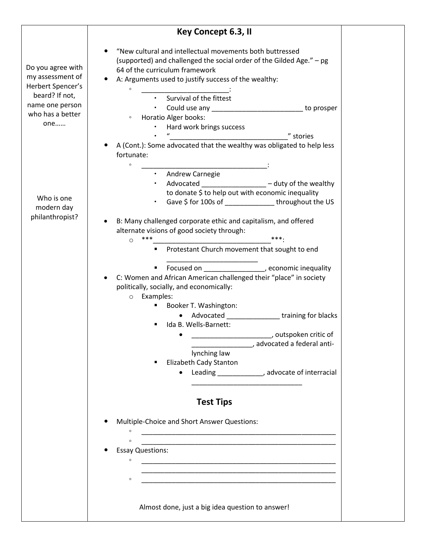